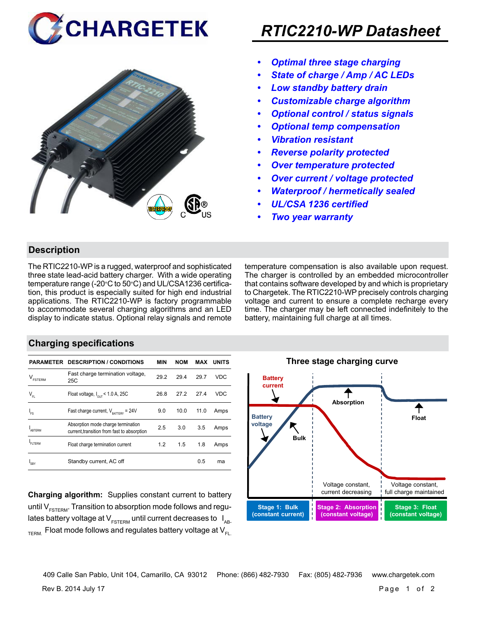



## *RTIC2210-WP Datasheet*

- *• Optimal three stage charging*
- *• State of charge / Amp / AC LEDs*
- *• Low standby battery drain*
- *• Customizable charge algorithm*
- *• Optional control / status signals*
- *• Optional temp compensation*
- *• Vibration resistant*
- *• Reverse polarity protected*
- *• Over temperature protected*
- *• Over current / voltage protected*
- *• Waterproof / hermetically sealed*
- *• UL/CSA 1236 certified*
- *• Two year warranty*

#### **Description**

The RTIC2210-WP is a rugged, waterproof and sophisticated three state lead-acid battery charger. With a wide operating temperature range (-20°C to 50°C) and UL/CSA1236 certification, this product is especially suited for high end industrial applications. The RTIC2210-WP is factory programmable to accommodate several charging algorithms and an LED display to indicate status. Optional relay signals and remote temperature compensation is also available upon request. The charger is controlled by an embedded microcontroller that contains software developed by and which is proprietary to Chargetek. The RTIC2210-WP precisely controls charging voltage and current to ensure a complete recharge every time. The charger may be left connected indefinitely to the battery, maintaining full charge at all times.

#### **Charging specifications**

|                                | <b>PARAMETER DESCRIPTION / CONDITIONS</b>                                         | <b>MIN</b> | <b>NOM</b> | MAX  | <b>UNITS</b> |
|--------------------------------|-----------------------------------------------------------------------------------|------------|------------|------|--------------|
| $\mathsf{V}_{\texttt{FSTERM}}$ | Fast charge termination voltage,<br>25C                                           | 29.2       | 29.4       | 29.7 | VDC          |
| $V_{FL}$                       | Float voltage, $I_{\text{out}}$ < 1.0 A, 25C                                      | 26.8       | 27.2       | 27.4 | VDC          |
| $I_{FS}$                       | Fast charge current, $V_{\text{partrev}} = 24V$                                   | 9.0        | 10.0       | 11.0 | Amps         |
| <b>ARTERM</b>                  | Absorption mode charge termination<br>current, transition from fast to absorption | 2.5        | 3.0        | 3.5  | Amps         |
| FI TFRM                        | Float charge termination current                                                  | 1.2        | 1.5        | 1.8  | Amps         |
| 'SRY                           | Standby current, AC off                                                           |            |            | 0.5  | ma           |

**Charging algorithm:** Supplies constant current to battery until  $V_{ESTFRM}$ . Transition to absorption mode follows and regulates battery voltage at  $V_{ESTERM}$  until current decreases to  $I_{AR}$  $T_{\text{ERM}}$  Float mode follows and regulates battery voltage at  $V_{\text{F1}}$ 



Rev B. 2014 July 17 Page 1 of 2 409 Calle San Pablo, Unit 104, Camarillo, CA 93012 Phone: (866) 482-7930 Fax: (805) 482-7936 www.chargetek.com